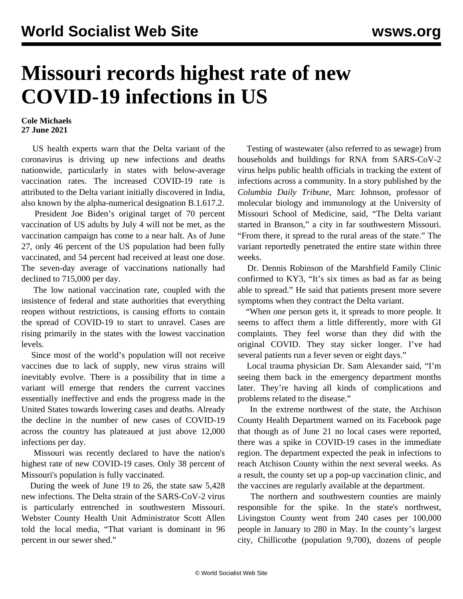## **Missouri records highest rate of new COVID-19 infections in US**

## **Cole Michaels 27 June 2021**

 US health experts warn that the Delta variant of the coronavirus is driving up new infections and deaths nationwide, particularly in states with below-average vaccination rates. The increased COVID-19 rate is attributed to the Delta variant initially discovered in India, also known by the alpha-numerical designation B.1.617.2.

 President Joe Biden's original target of 70 percent vaccination of US adults by July 4 will not be met, as the vaccination campaign has come to a near halt. As of June 27, only 46 percent of the US population had been fully vaccinated, and 54 percent had received at least one dose. The seven-day average of vaccinations nationally had declined to 715,000 per day.

 The low national vaccination rate, coupled with the insistence of federal and state authorities that everything reopen without restrictions, is causing efforts to contain the spread of COVID-19 to start to unravel. Cases are rising primarily in the states with the lowest vaccination levels.

 Since most of the world's population will not receive vaccines due to lack of supply, new virus strains will inevitably evolve. There is a possibility that in time a variant will emerge that renders the current vaccines essentially ineffective and ends the progress made in the United States towards lowering cases and deaths. Already the decline in the number of new cases of COVID-19 across the country has plateaued at just above 12,000 infections per day.

 Missouri was recently declared to have the nation's highest rate of new COVID-19 cases. Only 38 percent of Missouri's population is fully vaccinated.

 During the week of June 19 to 26, the state saw 5,428 new infections. The Delta strain of the SARS-CoV-2 virus is particularly entrenched in southwestern Missouri. Webster County Health Unit Administrator Scott Allen told the local media, "That variant is dominant in 96 percent in our sewer shed."

 Testing of wastewater (also referred to as sewage) from households and buildings for RNA from SARS-CoV-2 virus helps public health officials in tracking the extent of infections across a community. In a story published by the *Columbia Daily Tribune*, Marc Johnson, professor of molecular biology and immunology at the University of Missouri School of Medicine, said, "The Delta variant started in Branson," a city in far southwestern Missouri. "From there, it spread to the rural areas of the state." The variant reportedly penetrated the entire state within three weeks.

 Dr. Dennis Robinson of the Marshfield Family Clinic confirmed to KY3, "It's six times as bad as far as being able to spread." He said that patients present more severe symptoms when they contract the Delta variant.

 "When one person gets it, it spreads to more people. It seems to affect them a little differently, more with GI complaints. They feel worse than they did with the original COVID. They stay sicker longer. I've had several patients run a fever seven or eight days."

 Local trauma physician Dr. Sam Alexander said, "I'm seeing them back in the emergency department months later. They're having all kinds of complications and problems related to the disease."

 In the extreme northwest of the state, the Atchison County Health Department warned on its Facebook page that though as of June 21 no local cases were reported, there was a spike in COVID-19 cases in the immediate region. The department expected the peak in infections to reach Atchison County within the next several weeks. As a result, the county set up a pop-up vaccination clinic, and the vaccines are regularly available at the department.

 The northern and southwestern counties are mainly responsible for the spike. In the state's northwest, Livingston County went from 240 cases per 100,000 people in January to 280 in May. In the county's largest city, Chillicothe (population 9,700), dozens of people